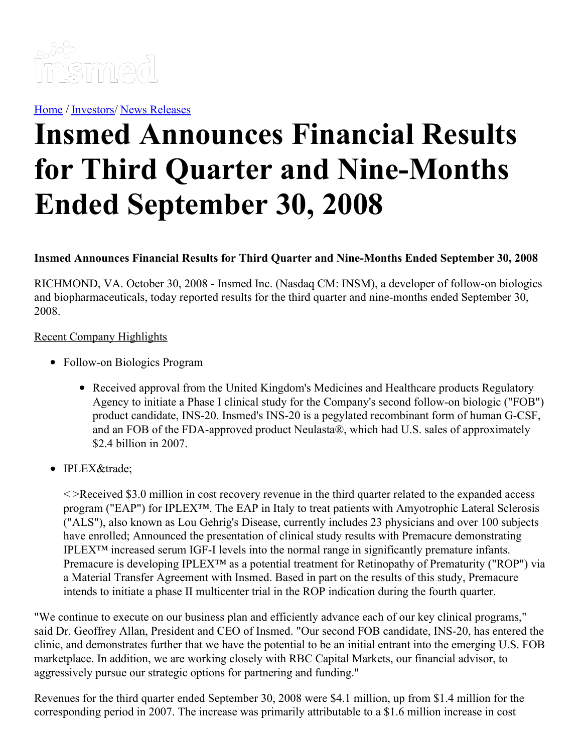

[Home](https://insmed.com/) / [Investors](https://investor.insmed.com/index)/ News [Releases](https://investor.insmed.com/releases)

# **Insmed Announces Financial Results for Third Quarter and Nine-Months Ended September 30, 2008**

## **Insmed Announces Financial Results for Third Quarter and Nine-Months Ended September 30, 2008**

RICHMOND, VA. October 30, 2008 - Insmed Inc. (Nasdaq CM: INSM), a developer of follow-on biologics and biopharmaceuticals, today reported results for the third quarter and nine-months ended September 30, 2008.

#### Recent Company Highlights

- Follow-on Biologics Program
	- Received approval from the United Kingdom's Medicines and Healthcare products Regulatory Agency to initiate a Phase I clinical study for the Company's second follow-on biologic ("FOB") product candidate, INS-20. Insmed's INS-20 is a pegylated recombinant form of human G-CSF, and an FOB of the FDA-approved product Neulasta®, which had U.S. sales of approximately \$2.4 billion in 2007.
- IPLEX™

< >Received \$3.0 million in cost recovery revenue in the third quarter related to the expanded access program ("EAP") for IPLEX™. The EAP in Italy to treat patients with Amyotrophic Lateral Sclerosis ("ALS"), also known as Lou Gehrig's Disease, currently includes 23 physicians and over 100 subjects have enrolled; Announced the presentation of clinical study results with Premacure demonstrating IPLEX™ increased serum IGF-I levels into the normal range in significantly premature infants. Premacure is developing IPLEX<sup>™</sup> as a potential treatment for Retinopathy of Prematurity ("ROP") via a Material Transfer Agreement with Insmed. Based in part on the results of this study, Premacure intends to initiate a phase II multicenter trial in the ROP indication during the fourth quarter.

"We continue to execute on our business plan and efficiently advance each of our key clinical programs," said Dr. Geoffrey Allan, President and CEO of Insmed. "Our second FOB candidate, INS-20, has entered the clinic, and demonstrates further that we have the potential to be an initial entrant into the emerging U.S. FOB marketplace. In addition, we are working closely with RBC Capital Markets, our financial advisor, to aggressively pursue our strategic options for partnering and funding."

Revenues for the third quarter ended September 30, 2008 were \$4.1 million, up from \$1.4 million for the corresponding period in 2007. The increase was primarily attributable to a \$1.6 million increase in cost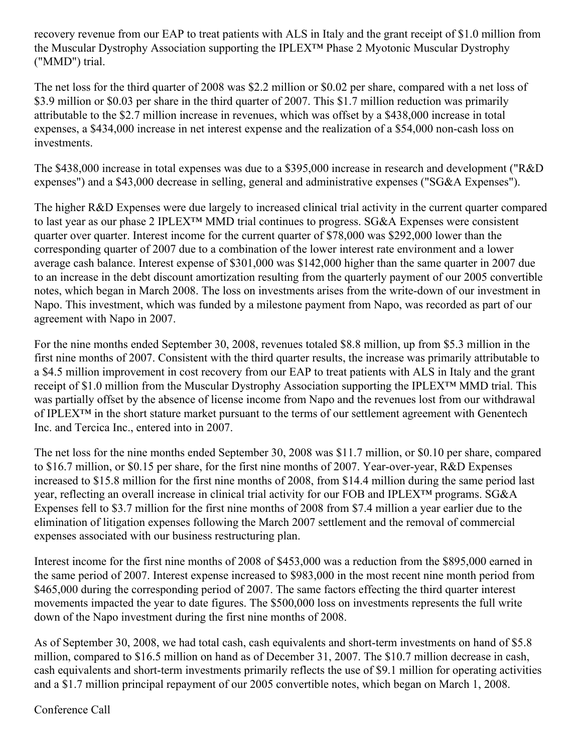recovery revenue from our EAP to treat patients with ALS in Italy and the grant receipt of \$1.0 million from the Muscular Dystrophy Association supporting the IPLEX™ Phase 2 Myotonic Muscular Dystrophy ("MMD") trial.

The net loss for the third quarter of 2008 was \$2.2 million or \$0.02 per share, compared with a net loss of \$3.9 million or \$0.03 per share in the third quarter of 2007. This \$1.7 million reduction was primarily attributable to the \$2.7 million increase in revenues, which was offset by a \$438,000 increase in total expenses, a \$434,000 increase in net interest expense and the realization of a \$54,000 non-cash loss on investments.

The \$438,000 increase in total expenses was due to a \$395,000 increase in research and development ("R&D expenses") and a \$43,000 decrease in selling, general and administrative expenses ("SG&A Expenses").

The higher R&D Expenses were due largely to increased clinical trial activity in the current quarter compared to last year as our phase 2 IPLEX™ MMD trial continues to progress. SG&A Expenses were consistent quarter over quarter. Interest income for the current quarter of \$78,000 was \$292,000 lower than the corresponding quarter of 2007 due to a combination of the lower interest rate environment and a lower average cash balance. Interest expense of \$301,000 was \$142,000 higher than the same quarter in 2007 due to an increase in the debt discount amortization resulting from the quarterly payment of our 2005 convertible notes, which began in March 2008. The loss on investments arises from the write-down of our investment in Napo. This investment, which was funded by a milestone payment from Napo, was recorded as part of our agreement with Napo in 2007.

For the nine months ended September 30, 2008, revenues totaled \$8.8 million, up from \$5.3 million in the first nine months of 2007. Consistent with the third quarter results, the increase was primarily attributable to a \$4.5 million improvement in cost recovery from our EAP to treat patients with ALS in Italy and the grant receipt of \$1.0 million from the Muscular Dystrophy Association supporting the IPLEX™ MMD trial. This was partially offset by the absence of license income from Napo and the revenues lost from our withdrawal of IPLEX™ in the short stature market pursuant to the terms of our settlement agreement with Genentech Inc. and Tercica Inc., entered into in 2007.

The net loss for the nine months ended September 30, 2008 was \$11.7 million, or \$0.10 per share, compared to \$16.7 million, or \$0.15 per share, for the first nine months of 2007. Year-over-year, R&D Expenses increased to \$15.8 million for the first nine months of 2008, from \$14.4 million during the same period last year, reflecting an overall increase in clinical trial activity for our FOB and IPLEX™ programs. SG&A Expenses fell to \$3.7 million for the first nine months of 2008 from \$7.4 million a year earlier due to the elimination of litigation expenses following the March 2007 settlement and the removal of commercial expenses associated with our business restructuring plan.

Interest income for the first nine months of 2008 of \$453,000 was a reduction from the \$895,000 earned in the same period of 2007. Interest expense increased to \$983,000 in the most recent nine month period from \$465,000 during the corresponding period of 2007. The same factors effecting the third quarter interest movements impacted the year to date figures. The \$500,000 loss on investments represents the full write down of the Napo investment during the first nine months of 2008.

As of September 30, 2008, we had total cash, cash equivalents and short-term investments on hand of \$5.8 million, compared to \$16.5 million on hand as of December 31, 2007. The \$10.7 million decrease in cash, cash equivalents and short-term investments primarily reflects the use of \$9.1 million for operating activities and a \$1.7 million principal repayment of our 2005 convertible notes, which began on March 1, 2008.

Conference Call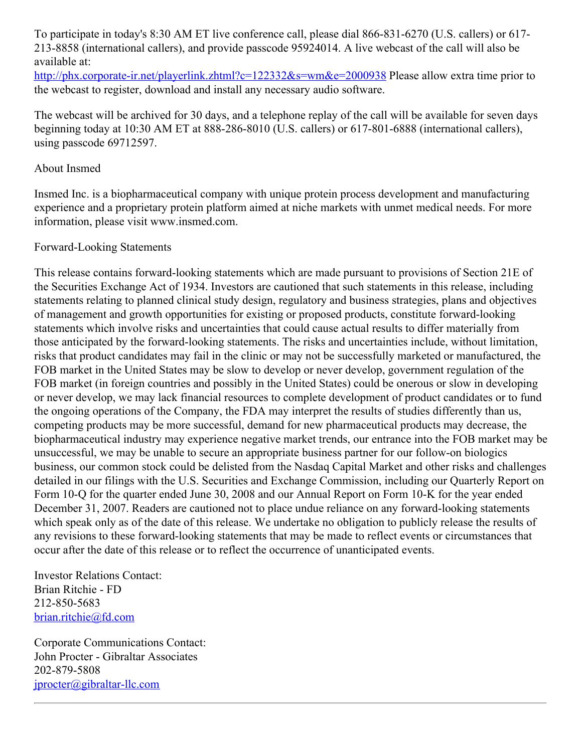To participate in today's 8:30 AM ET live conference call, please dial 866-831-6270 (U.S. callers) or 617- 213-8858 (international callers), and provide passcode 95924014. A live webcast of the call will also be available at:

<http://phx.corporate-ir.net/playerlink.zhtml?c=122332&s=wm&e=2000938> Please allow extra time prior to the webcast to register, download and install any necessary audio software.

The webcast will be archived for 30 days, and a telephone replay of the call will be available for seven days beginning today at 10:30 AM ET at 888-286-8010 (U.S. callers) or 617-801-6888 (international callers), using passcode 69712597.

### About Insmed

Insmed Inc. is a biopharmaceutical company with unique protein process development and manufacturing experience and a proprietary protein platform aimed at niche markets with unmet medical needs. For more information, please visit www.insmed.com.

## Forward-Looking Statements

This release contains forward-looking statements which are made pursuant to provisions of Section 21E of the Securities Exchange Act of 1934. Investors are cautioned that such statements in this release, including statements relating to planned clinical study design, regulatory and business strategies, plans and objectives of management and growth opportunities for existing or proposed products, constitute forward-looking statements which involve risks and uncertainties that could cause actual results to differ materially from those anticipated by the forward-looking statements. The risks and uncertainties include, without limitation, risks that product candidates may fail in the clinic or may not be successfully marketed or manufactured, the FOB market in the United States may be slow to develop or never develop, government regulation of the FOB market (in foreign countries and possibly in the United States) could be onerous or slow in developing or never develop, we may lack financial resources to complete development of product candidates or to fund the ongoing operations of the Company, the FDA may interpret the results of studies differently than us, competing products may be more successful, demand for new pharmaceutical products may decrease, the biopharmaceutical industry may experience negative market trends, our entrance into the FOB market may be unsuccessful, we may be unable to secure an appropriate business partner for our follow-on biologics business, our common stock could be delisted from the Nasdaq Capital Market and other risks and challenges detailed in our filings with the U.S. Securities and Exchange Commission, including our Quarterly Report on Form 10-Q for the quarter ended June 30, 2008 and our Annual Report on Form 10-K for the year ended December 31, 2007. Readers are cautioned not to place undue reliance on any forward-looking statements which speak only as of the date of this release. We undertake no obligation to publicly release the results of any revisions to these forward-looking statements that may be made to reflect events or circumstances that occur after the date of this release or to reflect the occurrence of unanticipated events.

Investor Relations Contact: Brian Ritchie - FD 212-850-5683 [brian.ritchie@fd.com](mailto:brian.ritchie@fd.com)

Corporate Communications Contact: John Procter - Gibraltar Associates 202-879-5808 [jprocter@gibraltar-llc.com](mailto:jprocter@gibraltar-llc.com)